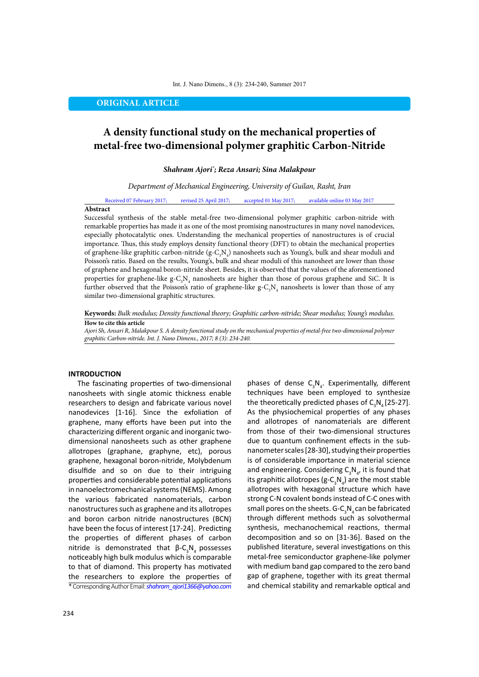**ORIGINAL ARTICLE**

# **A density functional study on the mechanical properties of metal-free two-dimensional polymer graphitic Carbon-Nitride**

*Shahram Ajori\* ; Reza Ansari; Sina Malakpour*

#### *Department of Mechanical Engineering, University of Guilan, Rasht, Iran*

Received 07 February 2017; revised 25 April 2017; accepted 01 May 2017; available online 03 May 2017

#### **Abstract**

Successful synthesis of the stable metal-free two-dimensional polymer graphitic carbon-nitride with remarkable properties has made it as one of the most promising nanostructures in many novel nanodevices, especially photocatalytic ones. Understanding the mechanical properties of nanostructures is of crucial importance. Thus, this study employs density functional theory (DFT) to obtain the mechanical properties of graphene-like graphitic carbon-nitride (g-C<sub>3</sub>N<sub>4</sub>) nanosheets such as Young's, bulk and shear moduli and Poisson's ratio. Based on the results, Young's, bulk and shear moduli of this nanosheet are lower than those of graphene and hexagonal boron-nitride sheet. Besides, it is observed that the values of the aforementioned properties for graphene-like g-C<sub>3</sub>N<sub>4</sub> nanosheets are higher than those of porous graphene and SiC. It is further observed that the Poisson's ratio of graphene-like g-C<sub>3</sub>N<sub>4</sub> nanosheets is lower than those of any similar two-dimensional graphitic structures.

**Keywords:** *Bulk modulus; Density functional theory; Graphitic carbon-nitride; Shear modulus; Young's modulus.*

### **How to cite this article**

*Ajori Sh, Ansari R, Malakpour S. A density functional study on the mechanical properties of metal-free two-dimensional polymer graphitic Carbon-nitride. Int. J. Nano Dimens., 2017; 8 (3): 234-240.*

#### **INTRODUCTION**

\* Corresponding Author Email: *shahram\_ajori1366@yahoo.com* The fascinating properties of two-dimensional nanosheets with single atomic thickness enable researchers to design and fabricate various novel nanodevices [1-16]. Since the exfoliation of graphene, many efforts have been put into the characterizing different organic and inorganic twodimensional nanosheets such as other graphene allotropes (graphane, graphyne, etc), porous graphene, hexagonal boron-nitride, Molybdenum disulfide and so on due to their intriguing properties and considerable potential applications in nanoelectromechanical systems (NEMS). Among the various fabricated nanomaterials, carbon nanostructures such as graphene and its allotropes and boron carbon nitride nanostructures (BCN) have been the focus of interest [17-24]. Predicting the properties of different phases of carbon nitride is demonstrated that  $β$ -C<sub>3</sub>N<sub>4</sub> possesses noticeably high bulk modulus which is comparable to that of diamond. This property has motivated the researchers to explore the properties of

techniques have been employed to synthesize the theoretically predicted phases of  $C_3N_4$  [25-27]. As the physiochemical properties of any phases and allotropes of nanomaterials are different from those of their two-dimensional structures due to quantum confinement effects in the subnanometer scales [28-30], studying their properties is of considerable importance in material science and engineering. Considering  $C_3N_{\frac{1}{4}}$ , it is found that its graphitic allotropes (g-C<sub>3</sub>N<sub>4</sub>) are the most stable allotropes with hexagonal structure which have strong C-N covalent bonds instead of C-C ones with small pores on the sheets. G-C<sub>3</sub>N<sub>4</sub> can be fabricated through different methods such as solvothermal synthesis, mechanochemical reactions, thermal decomposition and so on [31-36]. Based on the published literature, several investigations on this metal-free semiconductor graphene-like polymer with medium band gap compared to the zero band gap of graphene, together with its great thermal and chemical stability and remarkable optical and

phases of dense  $C_3N_4$ . Experimentally, different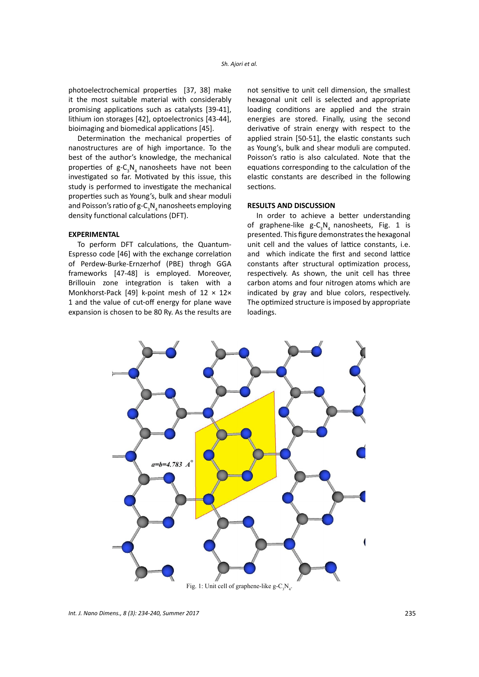photoelectrochemical properties [37, 38] make it the most suitable material with considerably promising applications such as catalysts [39-41], lithium ion storages [42], optoelectronics [43-44], bioimaging and biomedical applications [45].

Determination the mechanical properties of nanostructures are of high importance. To the best of the author's knowledge, the mechanical properties of  $g$ -C<sub>3</sub>N<sub>4</sub> nanosheets have not been investigated so far. Motivated by this issue, this study is performed to investigate the mechanical properties such as Young's, bulk and shear moduli and Poisson's ratio of g-C<sub>3</sub>N<sub>4</sub> nanosheets employing density functional calculations (DFT).

# **EXPERIMENTAL**

To perform DFT calculations, the Quantum-Espresso code [46] with the exchange correlation of Perdew-Burke-Ernzerhof (PBE) throgh GGA frameworks [47-48] is employed. Moreover, Brillouin zone integration is taken with a Monkhorst-Pack [49] k-point mesh of  $12 \times 12 \times$ 1 and the value of cut-off energy for plane wave expansion is chosen to be 80 Ry. As the results are

not sensitive to unit cell dimension, the smallest hexagonal unit cell is selected and appropriate loading conditions are applied and the strain energies are stored. Finally, using the second derivative of strain energy with respect to the applied strain [50-51], the elastic constants such as Young's, bulk and shear moduli are computed. Poisson's ratio is also calculated. Note that the equations corresponding to the calculation of the elastic constants are described in the following sections.

## **RESULTS AND DISCUSSION**

In order to achieve a better understanding of graphene-like  $g - C_3 N_4$  nanosheets, Fig. 1 is presented. This figure demonstrates the hexagonal unit cell and the values of lattice constants, i.e. and which indicate the first and second lattice constants after structural optimization process, respectively. As shown, the unit cell has three carbon atoms and four nitrogen atoms which are indicated by gray and blue colors, respectively. The optimized structure is imposed by appropriate loadings.

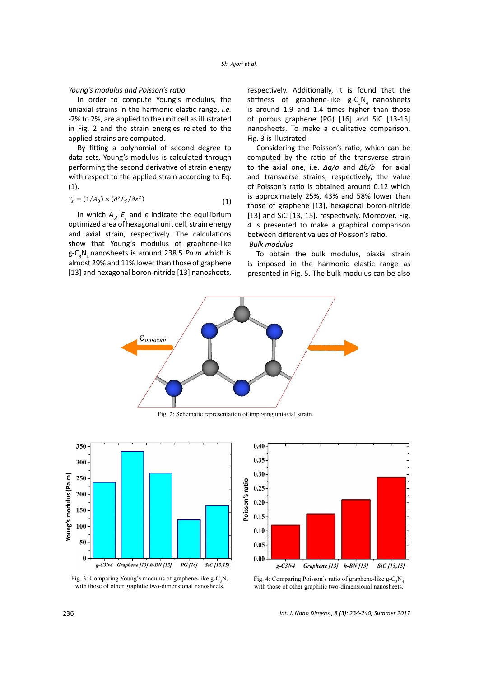#### *Young's modulus and Poisson's ratio*

In order to compute Young's modulus, the uniaxial strains in the harmonic elastic range, *i.e.* -2% to 2%, are applied to the unit cell as illustrated in Fig. 2 and the strain energies related to the applied strains are computed.

By fitting a polynomial of second degree to data sets, Young's modulus is calculated through performing the second derivative of strain energy with respect to the applied strain according to Eq. (1).

$$
Y_s = (1/A_0) \times (\partial^2 E_s / \partial \varepsilon^2)
$$
 (1)

show that Young's modulus of graphene-like [13] and hexagonal boron-nitride [13] nanosheets, in which  $A_{\sigma}$ ,  $E_{s}$  and  $\varepsilon$  indicate the equilibrium optimized area of hexagonal unit cell, strain energy and axial strain, respectively. The calculations g-C<sup>3</sup> N4 nanosheets is around 238.5 *Pa.m* which is almost 29% and 11% lower than those of graphene

respectively. Additionally, it is found that the stiffness of graphene-like  $g-\mathrm{C}_{3}\mathrm{N}_{4}$  nanosheets is around 1.9 and 1.4 times higher than those of porous graphene (PG) [16] and SiC [13-15] nanosheets. To make a qualitative comparison, Fig. 3 is illustrated.

Considering the Poisson's ratio, which can be computed by the ratio of the transverse strain to the axial one, i.e. *Δa/a* and *Δb/b* for axial and transverse strains, respectively, the value of Poisson's ratio is obtained around 0.12 which is approximately 25%, 43% and 58% lower than those of graphene [13], hexagonal boron-nitride [13] and SiC [13, 15], respectively. Moreover, Fig. 4 is presented to make a graphical comparison between different values of Poisson's ratio. *Bulk modulus*

To obtain the bulk modulus, biaxial strain is imposed in the harmonic elastic range as presented in Fig. 5. The bulk modulus can be also



Fig. 2: Schematic representation of imposing uniaxial strain.





Fig. 3: Comparing Young's modulus of graphene-like  $g - C_3 N_4$ with those of other graphitic two-dimensional nanosheets.

Fig. 4: Comparing Poisson's ratio of graphene-like  $g - C_3 N_4$ s. with those of other graphitic two-dimensional nanosheets.

*Int. J. Nano Dimens., 8 (3): 234-240, Summer 2017*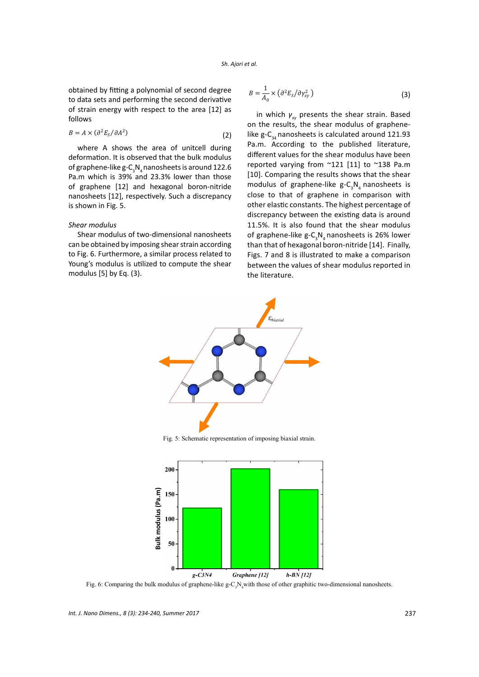#### *Sh. Ajori et al.*   $\alpha$

obtained by fitting a polynomial of second degree to data sets and performing the second derivative of strain energy with respect to the area [12] as follows

$$
B = A \times (\partial^2 E_s / \partial A^2)
$$
 (2)

of graphene-like  $g-C_3N_4$  nanosheets is around 122.6  $P_a$ . The mass  $C_3$   $C_4$  manufacture is about  $T_{\text{max}}$ . where A shows the area of unitcell during deformation. It is observed that the bulk modulus of graphene [12] and hexagonal boron-nitride nanosheets [12], respectively. Such a discrepancy is shown in Fig. 5.

### *Shear modulus*

Shear modulus of two-dimensional nanosheets can be obtained by imposing shear strain according to Fig. 6. Furthermore, a similar process related to Young's modulus is utilized to compute the shear modulus [5] by Eq. (3).

$$
B = \frac{1}{A_0} \times \left( \frac{\partial^2 E_S}{\partial \gamma_{xy}^2} \right) \tag{3}
$$

in which *γxy* presents the shear strain. Based on the results, the shear modulus of graphenelike g- $C_{34}$  nanosheets is calculated around 121.93 Pa.m. According to the published literature, different values for the shear modulus have been reported varying from ~121 [11] to ~138 Pa.m [10]. Comparing the results shows that the shear modulus of graphene-like g- $C_{3}N_{4}$  nanosheets is close to that of graphene in comparison with other elastic constants. The highest percentage of discrepancy between the existing data is around 11.5%. It is also found that the shear modulus of graphene-like g- $C_{3}N_{4}$ nanosheets is 26% lower than that of hexagonal boron-nitride [14]. Finally, Figs. 7 and 8 is illustrated to make a comparison between the values of shear modulus reported in the literature.



Fig. 5: Schematic representation of imposing biaxial strain.



Fig. 6: Comparing the bulk modulus of graphene-like  $g$ -C<sub>3</sub>N<sub>4</sub>with those of other graphitic two-dimensional nanosheets.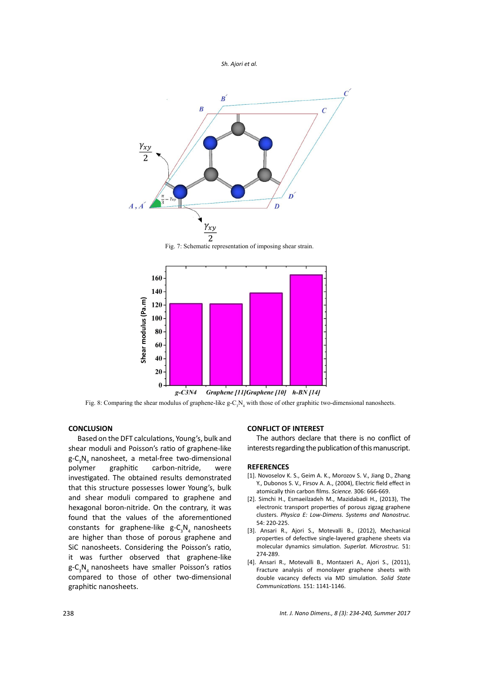



Fig. 7: Schematic representation of imposing shear strain.



 $g-C3N4$ Graphene [11] Graphene [10] h-BN [14]

Fig. 8: Comparing the shear modulus of graphene-like  $g-C<sub>3</sub>N<sub>4</sub>$  with those of other graphitic two-dimensional nanosheets.

# **CONCLUSION**

compared to those of other two-dimensional Based on the DFT calculations, Young's, bulk and shear moduli and Poisson's ratio of graphene-like g-C<sub>3</sub>N<sub>4</sub> nanosheet, a metal-free two-dimensional polymer graphitic carbon-nitride, were investigated. The obtained results demonstrated that this structure possesses lower Young's, bulk and shear moduli compared to graphene and hexagonal boron-nitride. On the contrary, it was found that the values of the aforementioned constants for graphene-like  $g - C_3 N_4$  nanosheets are higher than those of porous graphene and SiC nanosheets. Considering the Poisson's ratio, it was further observed that graphene-like g-C<sub>3</sub>N<sub>4</sub> nanosheets have smaller Poisson's ratios graphitic nanosheets.

# **CONFLICT OF INTEREST**

The authors declare that there is no conflict of interests regarding the publication of this manuscript.

## **REFERENCES**

- [1]. Novoselov K. S., Geim A. K., Morozov S. V., Jiang D., Zhang Y., Dubonos S. V., Firsov A. A., (2004), Electric field effect in atomically thin carbon films. *Science.* 306: 666-669.
- [2]. Simchi H., Esmaeilzadeh M., Mazidabadi H., (2013), The electronic transport properties of porous zigzag graphene clusters. *Physica E: Low-Dimens. Systems and Nanostruc.* 54: 220-225.
- [3]. Ansari R., Ajori S., Motevalli B., (2012), Mechanical properties of defective single-layered graphene sheets via molecular dynamics simulation. *Superlat. Microstruc.* 51: 274-289.
- [4]. Ansari R., Motevalli B., Montazeri A., Ajori S., (2011), Fracture analysis of monolayer graphene sheets with double vacancy defects via MD simulation. *Solid State Communications.* 151: 1141-1146.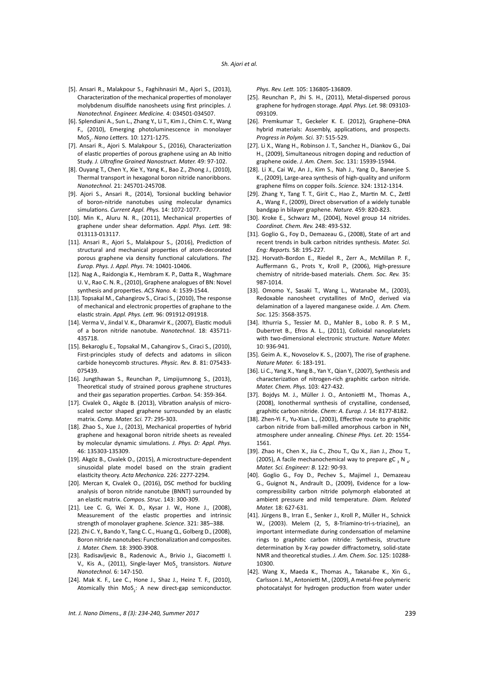#### *Sh. Ajori et al.*

- [5]. Ansari R., Malakpour S., Faghihnasiri M., Ajori S., (2013), Characterization of the mechanical properties of monolayer molybdenum disulfide nanosheets using first principles. *J. Nanotechnol. Engineer. Medicine.* 4: 034501-034507.
- [6]. Splendiani A., Sun L., Zhang Y., Li T., Kim J., Chim C. Y., Wang F., (2010), Emerging photoluminescence in monolayer MoS<sup>2</sup> . *Nano Letters.* 10: 1271-1275.
- [7]. Ansari R., Ajori S. Malakpour S., (2016), Characterization of elastic properties of porous graphene using an Ab Initio Study. *J. Ultrafine Grained Nanostruct. Mater.* 49: 97-102.
- [8]. Ouyang T., Chen Y., Xie Y., Yang K., Bao Z., Zhong J., (2010), Thermal transport in hexagonal boron nitride nanoribbons. *Nanotechnol.* 21: 245701-245708.
- [9]. Ajori S., Ansari R., (2014), Torsional buckling behavior of boron-nitride nanotubes using molecular dynamics simulations. *Current Appl. Phys.* 14: 1072-1077.
- [10]. Min K., Aluru N. R., (2011), Mechanical properties of graphene under shear deformation. *Appl. Phys. Lett.* 98: 013113-013117.
- [11]. Ansari R., Ajori S., Malakpour S., (2016), Prediction of structural and mechanical properties of atom-decorated porous graphene via density functional calculations. *The Europ. Phys. J. Appl. Phys*. 74: 10401-10406.
- [12]. Nag A., Raidongia K., Hembram K. P., Datta R., Waghmare U. V., Rao C. N. R., (2010), Graphene analogues of BN: Novel synthesis and properties. *ACS Nano.* 4: 1539-1544.
- [13]. Topsakal M., Cahangirov S., Ciraci S., (2010). The response of mechanical and electronic properties of graphane to the elastic strain. *Appl. Phys. Lett.* 96: 091912-091918.
- [14]. Verma V., Jindal V. K., Dharamvir K., (2007), Elastic moduli of a boron nitride nanotube. *Nanotechnol*. 18: 435711- 435718.
- [15]. Bekaroglu E., Topsakal M., Cahangirov S., Ciraci S., (2010), First-principles study of defects and adatoms in silicon carbide honeycomb structures. *Physic. Rev. B.* 81: 075433- 075439.
- [16]. Jungthawan S., Reunchan P., Limpijumnong S., (2013), Theoretical study of strained porous graphene structures and their gas separation properties. *Carbon.* 54: 359-364.
- [17]. Civalek O., Akgöz B. (2013), Vibration analysis of microscaled sector shaped graphene surrounded by an elastic matrix. *Comp. Mater. Sci.* 77: 295-303.
- [18]. Zhao S., Xue J., (2013), Mechanical properties of hybrid graphene and hexagonal boron nitride sheets as revealed by molecular dynamic simulations. *J. Phys. D: Appl. Phys.* 46: 135303-135309.
- [19]. Akgöz B., Civalek O., (2015), A microstructure-dependent sinusoidal plate model based on the strain gradient elasticity theory. *Acta Mechanica.* 226: 2277-2294.
- [20]. Mercan K, Civalek O., (2016), DSC method for buckling analysis of boron nitride nanotube (BNNT) surrounded by an elastic matrix. *Compos. Struc*. 143: 300-309.
- [21]. Lee C. G, Wei X. D., Kysar J. W., Hone J., (2008), Measurement of the elastic properties and intrinsic strength of monolayer graphene. *Science*. 321: 385–388.
- [22]. Zhi C. Y., Bando Y., Tang C. C., Huang Q., Golberg D., (2008), Boron nitride nanotubes: Functionalization and composites. *J. Mater. Chem.* 18: 3900-3908.
- [23]. Radisavljevic B., Radenovic A., Brivio J., Giacometti I. V., Kis A., (2011), Single-layer MoS<sub>2</sub> transistors. Nature *Nanotechnol.* 6: 147-150.
- [24]. Mak K. F., Lee C., Hone J., Shaz J., Heinz T. F., (2010), Atomically thin MoS<sub>2</sub>: A new direct-gap semiconductor.

*Phys. Rev. Lett.* 105: 136805-136809.

- [25]. Reunchan P., Jhi S. H., (2011), Metal-dispersed porous graphene for hydrogen storage. *Appl. Phys. Let.* 98: 093103- 093109.
- [26]. Premkumar T., Geckeler K. E. (2012), Graphene–DNA hybrid materials: Assembly, applications, and prospects. *Progress in Polym. Sci.* 37: 515-529.
- [27]. Li X., Wang H., Robinson J. T., Sanchez H., Diankov G., Dai H., (2009), Simultaneous nitrogen doping and reduction of graphene oxide. *J. Am. Chem. Soc.* 131: 15939-15944.
- [28]. Li X., Cai W., An J., Kim S., Nah J., Yang D., Banerjee S. K., (2009), Large-area synthesis of high-quality and uniform graphene films on copper foils. *Science.* 324: 1312-1314.
- [29]. Zhang Y., Tang T. T., Girit C., Hao Z., Martin M. C., Zettl A., Wang F., (2009), Direct observation of a widely tunable bandgap in bilayer graphene. *Nature.* 459: 820-823.
- [30]. Kroke E., Schwarz M., (2004), Novel group 14 nitrides. *Coordinat. Chem. Rev.* 248: 493-532.
- [31]. Goglio G., Foy D., Demazeau G., (2008), State of art and recent trends in bulk carbon nitrides synthesis. *Mater. Sci. Eng: Reports.* 58: 195-227.
- [32]. Horvath-Bordon E., Riedel R., Zerr A., McMillan P. F., Auffermann G., Prots Y., Kroll P., (2006), High-pressure chemistry of nitride-based materials. *Chem. Soc. Rev.* 35: 987-1014.
- [33]. Omomo Y., Sasaki T., Wang L., Watanabe M., (2003), Redoxable nanosheet crystallites of  $MnO<sub>2</sub>$  derived via delamination of a layered manganese oxide. *J. Am. Chem. Soc.* 125: 3568-3575.
- [34]. Ithurria S., Tessier M. D., Mahler B., Lobo R. P. S M., Dubertret B., Efros A. L., (2011), Colloidal nanoplatelets with two-dimensional electronic structure. *Nature Mater.* 10: 936-941.
- [35]. Geim A. K., Novoselov K. S., (2007), The rise of graphene. *Nature Mater.* 6: 183-191.
- [36]. Li C., Yang X., Yang B., Yan Y., Qian Y., (2007), Synthesis and characterization of nitrogen-rich graphitic carbon nitride. *Mater. Chem. Phys.* 103: 427-432.
- [37]. Bojdys M. J., Müller J. O., Antonietti M., Thomas A., (2008), Ionothermal synthesis of crystalline, condensed, graphitic carbon nitride. *Chem: A. Europ. J.* 14: 8177-8182.
- [38]. Zhen-Yi F., Yu-Xian L., (2003), Effective route to graphitic carbon nitride from ball-milled amorphous carbon in NH atmosphere under annealing. *Chinese Phys. Let.* 20: 1554- 1561.
- [39]. Zhao H., Chen X., Jia C., Zhou T., Qu X., Jian J., Zhou T., (2005), A facile mechanochemical way to prepare gC  $_3$  N  $_4$ . *Mater. Sci. Engineer: B.* 122: 90-93.
- [40]. Goglio G., Foy D., Pechev S., Majimel J., Demazeau G., Guignot N., Andrault D., (2009), Evidence for a lowcompressibility carbon nitride polymorph elaborated at ambient pressure and mild temperature. *Diam. Related Mater.* 18: 627-631.
- [41]. Jürgens B., Irran E., Senker J., Kroll P., Müller H., Schnick W., (2003). Melem (2, 5, 8-Triamino-tri-s-triazine), an important intermediate during condensation of melamine rings to graphitic carbon nitride: Synthesis, structure determination by X-ray powder diffractometry, solid-state NMR and theoretical studies. *J. Am. Chem. Soc.* 125: 10288- 10300.
- [42]. Wang X., Maeda K., Thomas A., Takanabe K., Xin G., Carlsson J. M., Antonietti M., (2009), A metal-free polymeric photocatalyst for hydrogen production from water under